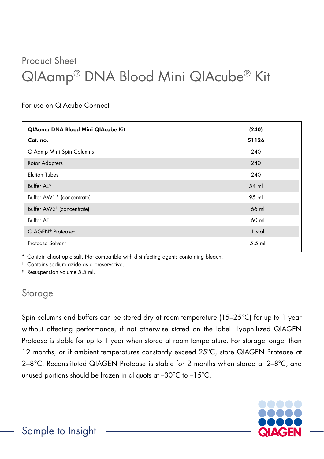# Product Sheet QIAamp® DNA Blood Mini QIAcube® Kit

#### For use on QIAcube Connect

| QIAamp DNA Blood Mini QIAcube Kit         | (240)    |
|-------------------------------------------|----------|
| Cat. no.                                  | 51126    |
| <b>QIAamp Mini Spin Columns</b>           | 240      |
| <b>Rotor Adapters</b>                     | 240      |
| <b>Elution Tubes</b>                      | 240      |
| Buffer AL*                                | 54 ml    |
| Buffer AW1* (concentrate)                 | 95 ml    |
| Buffer AW2 <sup>†</sup> (concentrate)     | 66 ml    |
| <b>Buffer AE</b>                          | 60 ml    |
| QIAGEN <sup>®</sup> Protease <sup>‡</sup> | 1 vial   |
| Protease Solvent                          | $5.5$ ml |

\* Contain chaotropic salt. Not compatible with disinfecting agents containing bleach.

† Contains sodium azide as a preservative.

‡ Resuspension volume 5.5 ml.

#### Storage

Spin columns and buffers can be stored dry at room temperature (15–25°C) for up to 1 year without affecting performance, if not otherwise stated on the label. Lyophilized QIAGEN Protease is stable for up to 1 year when stored at room temperature. For storage longer than 12 months, or if ambient temperatures constantly exceed 25°C, store QIAGEN Protease at 2–8°C. Reconstituted QIAGEN Protease is stable for 2 months when stored at 2–8°C, and unused portions should be frozen in aliquots at –30°C to –15°C.